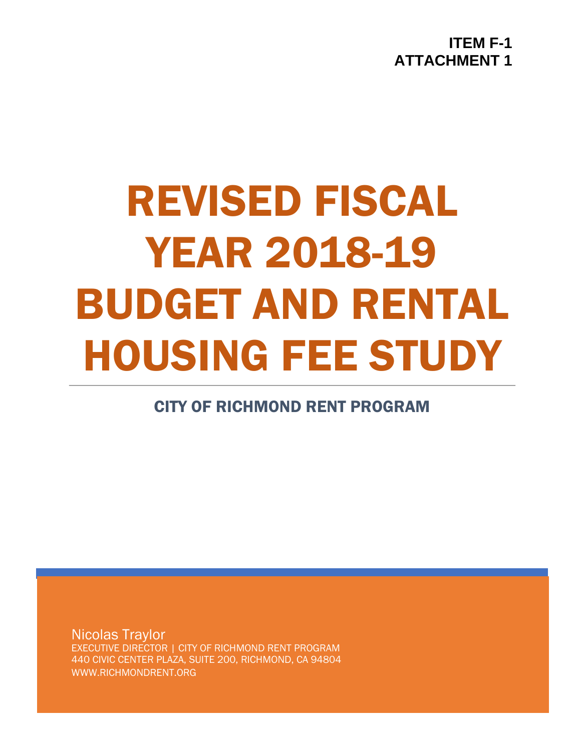**ITEM F-1 ATTACHMENT 1**

# REVISED FISCAL YEAR 2018-19 BUDGET AND RENTAL HOUSING FEE STUDY

CITY OF RICHMOND RENT PROGRAM

Nicolas Traylor EXECUTIVE DIRECTOR | CITY OF RICHMOND RENT PROGRAM 440 CIVIC CENTER PLAZA, SUITE 200, RICHMOND, CA 94804 WWW.RICHMONDRENT.ORG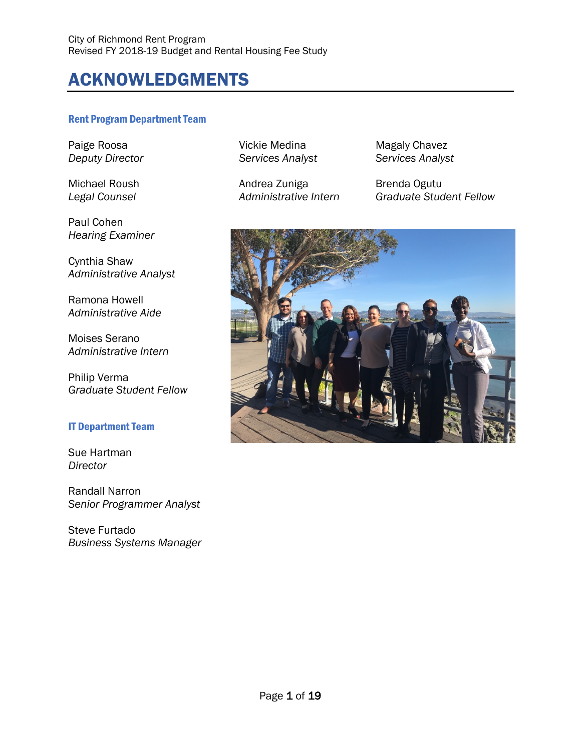# ACKNOWLEDGMENTS

#### Rent Program Department Team

Paul Cohen *Hearing Examiner*

Cynthia Shaw *Administrative Analyst*

Ramona Howell *Administrative Aide*

Moises Serano *Administrative Intern*

Philip Verma *Graduate Student Fellow*

#### IT Department Team

Sue Hartman *Director*

Randall Narron *Senior Programmer Analyst*

Steve Furtado *Business Systems Manager*  $S$ ervices Analyst

Michael Roush **Andrea Zuniga** Brenda Ogutu

Paige Roosa Vickie Medina Magaly Chavez

*Legal Counsel Administrative Intern Graduate Student Fellow*

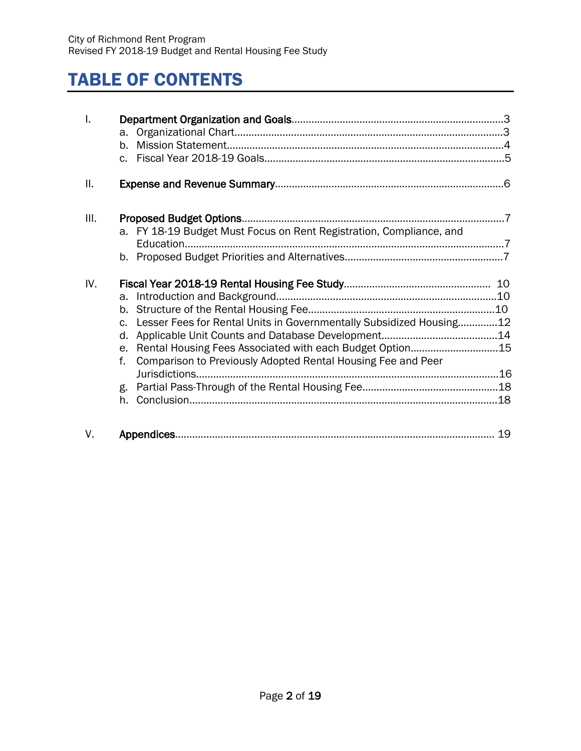# TABLE OF CONTENTS

| I.  | $h_{-}$                                                                                                                                                                                                                                |    |
|-----|----------------------------------------------------------------------------------------------------------------------------------------------------------------------------------------------------------------------------------------|----|
| ΙΙ. |                                                                                                                                                                                                                                        |    |
| Ш.  | a. FY 18-19 Budget Must Focus on Rent Registration, Compliance, and<br>Education                                                                                                                                                       |    |
| IV. | Lesser Fees for Rental Units in Governmentally Subsidized Housing12<br>$C_{\star}$<br>d.<br>Rental Housing Fees Associated with each Budget Option15<br>e.<br>f.<br>Comparison to Previously Adopted Rental Housing Fee and Peer<br>g. |    |
| V.  | Appendices                                                                                                                                                                                                                             | 19 |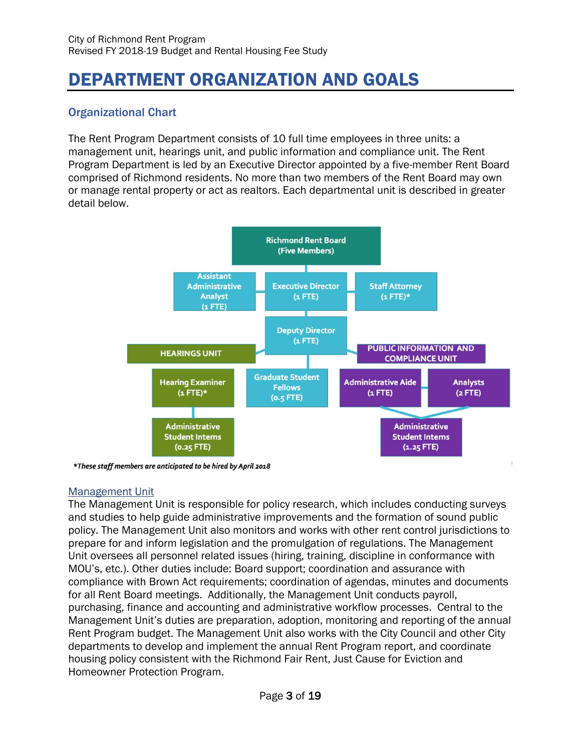# DEPARTMENT ORGANIZATION AND GOALS

# Organizational Chart

The Rent Program Department consists of 10 full time employees in three units: a management unit, hearings unit, and public information and compliance unit. The Rent Program Department is led by an Executive Director appointed by a five-member Rent Board comprised of Richmond residents. No more than two members of the Rent Board may own or manage rental property or act as realtors. Each departmental unit is described in greater detail below.



\*These staff members are anticipated to be hired by April 2018

### Management Unit

The Management Unit is responsible for policy research, which includes conducting surveys and studies to help guide administrative improvements and the formation of sound public policy. The Management Unit also monitors and works with other rent control jurisdictions to prepare for and inform legislation and the promulgation of regulations. The Management Unit oversees all personnel related issues (hiring, training, discipline in conformance with MOU's, etc.). Other duties include: Board support; coordination and assurance with compliance with Brown Act requirements; coordination of agendas, minutes and documents for all Rent Board meetings. Additionally, the Management Unit conducts payroll, purchasing, finance and accounting and administrative workflow processes. Central to the Management Unit's duties are preparation, adoption, monitoring and reporting of the annual Rent Program budget. The Management Unit also works with the City Council and other City departments to develop and implement the annual Rent Program report, and coordinate housing policy consistent with the Richmond Fair Rent, Just Cause for Eviction and Homeowner Protection Program.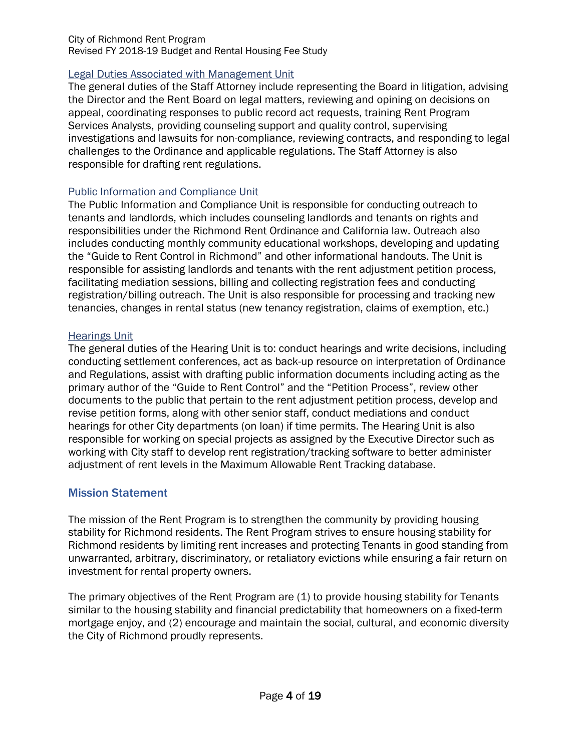### Legal Duties Associated with Management Unit

The general duties of the Staff Attorney include representing the Board in litigation, advising the Director and the Rent Board on legal matters, reviewing and opining on decisions on appeal, coordinating responses to public record act requests, training Rent Program Services Analysts, providing counseling support and quality control, supervising investigations and lawsuits for non-compliance, reviewing contracts, and responding to legal challenges to the Ordinance and applicable regulations. The Staff Attorney is also responsible for drafting rent regulations.

### Public Information and Compliance Unit

The Public Information and Compliance Unit is responsible for conducting outreach to tenants and landlords, which includes counseling landlords and tenants on rights and responsibilities under the Richmond Rent Ordinance and California law. Outreach also includes conducting monthly community educational workshops, developing and updating the "Guide to Rent Control in Richmond" and other informational handouts. The Unit is responsible for assisting landlords and tenants with the rent adjustment petition process, facilitating mediation sessions, billing and collecting registration fees and conducting registration/billing outreach. The Unit is also responsible for processing and tracking new tenancies, changes in rental status (new tenancy registration, claims of exemption, etc.)

### Hearings Unit

The general duties of the Hearing Unit is to: conduct hearings and write decisions, including conducting settlement conferences, act as back-up resource on interpretation of Ordinance and Regulations, assist with drafting public information documents including acting as the primary author of the "Guide to Rent Control" and the "Petition Process", review other documents to the public that pertain to the rent adjustment petition process, develop and revise petition forms, along with other senior staff, conduct mediations and conduct hearings for other City departments (on loan) if time permits. The Hearing Unit is also responsible for working on special projects as assigned by the Executive Director such as working with City staff to develop rent registration/tracking software to better administer adjustment of rent levels in the Maximum Allowable Rent Tracking database.

### Mission Statement

The mission of the Rent Program is to strengthen the community by providing housing stability for Richmond residents. The Rent Program strives to ensure housing stability for Richmond residents by limiting rent increases and protecting Tenants in good standing from unwarranted, arbitrary, discriminatory, or retaliatory evictions while ensuring a fair return on investment for rental property owners.

The primary objectives of the Rent Program are (1) to provide housing stability for Tenants similar to the housing stability and financial predictability that homeowners on a fixed-term mortgage enjoy, and (2) encourage and maintain the social, cultural, and economic diversity the City of Richmond proudly represents.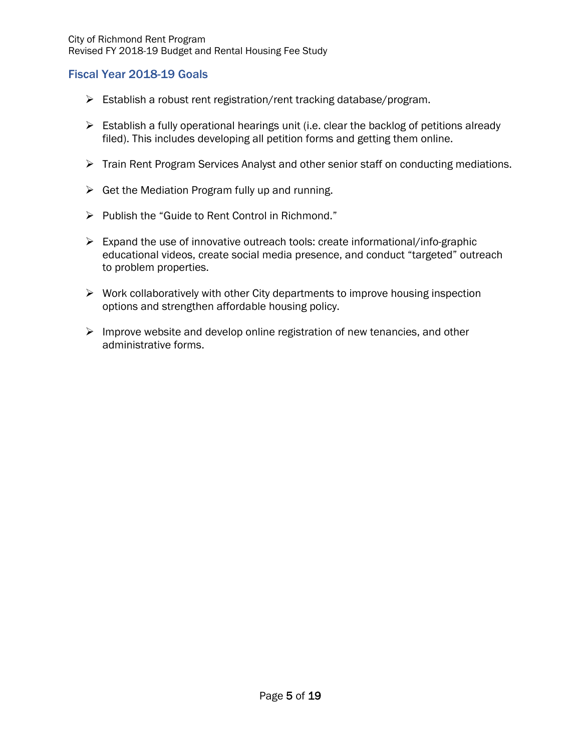### Fiscal Year 2018-19 Goals

- $\triangleright$  Establish a robust rent registration/rent tracking database/program.
- $\triangleright$  Establish a fully operational hearings unit (i.e. clear the backlog of petitions already filed). This includes developing all petition forms and getting them online.
- Train Rent Program Services Analyst and other senior staff on conducting mediations.
- $\triangleright$  Get the Mediation Program fully up and running.
- $\triangleright$  Publish the "Guide to Rent Control in Richmond."
- $\triangleright$  Expand the use of innovative outreach tools: create informational/info-graphic educational videos, create social media presence, and conduct "targeted" outreach to problem properties.
- $\triangleright$  Work collaboratively with other City departments to improve housing inspection options and strengthen affordable housing policy.
- $\triangleright$  Improve website and develop online registration of new tenancies, and other administrative forms.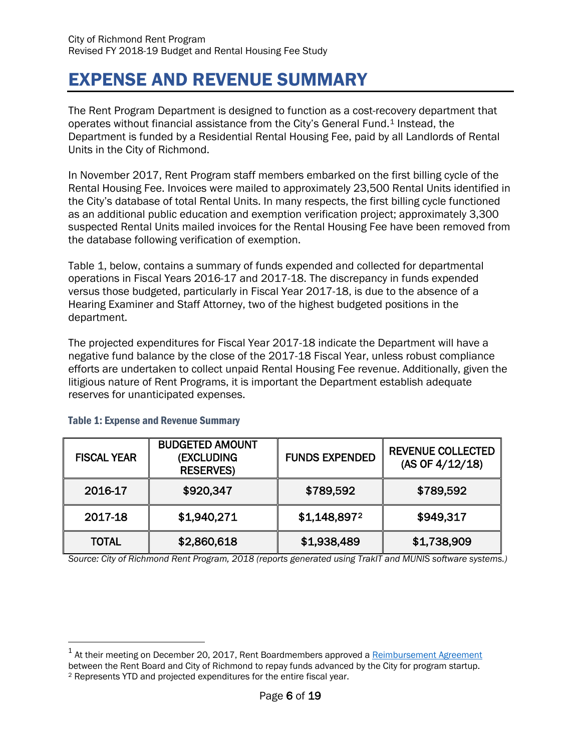# EXPENSE AND REVENUE SUMMARY

The Rent Program Department is designed to function as a cost-recovery department that operates without financial assistance from the City's General Fund.[1](#page-6-0) Instead, the Department is funded by a Residential Rental Housing Fee, paid by all Landlords of Rental Units in the City of Richmond.

In November 2017, Rent Program staff members embarked on the first billing cycle of the Rental Housing Fee. Invoices were mailed to approximately 23,500 Rental Units identified in the City's database of total Rental Units. In many respects, the first billing cycle functioned as an additional public education and exemption verification project; approximately 3,300 suspected Rental Units mailed invoices for the Rental Housing Fee have been removed from the database following verification of exemption.

Table 1, below, contains a summary of funds expended and collected for departmental operations in Fiscal Years 2016-17 and 2017-18. The discrepancy in funds expended versus those budgeted, particularly in Fiscal Year 2017-18, is due to the absence of a Hearing Examiner and Staff Attorney, two of the highest budgeted positions in the department.

The projected expenditures for Fiscal Year 2017-18 indicate the Department will have a negative fund balance by the close of the 2017-18 Fiscal Year, unless robust compliance efforts are undertaken to collect unpaid Rental Housing Fee revenue. Additionally, given the litigious nature of Rent Programs, it is important the Department establish adequate reserves for unanticipated expenses.

| <b>FISCAL YEAR</b> | <b>BUDGETED AMOUNT</b><br>(EXCLUDING<br><b>RESERVES)</b> | <b>FUNDS EXPENDED</b> | <b>REVENUE COLLECTED</b><br>(AS OF 4/12/18) |
|--------------------|----------------------------------------------------------|-----------------------|---------------------------------------------|
| 2016-17            | \$920,347                                                | \$789,592             | \$789,592                                   |
| 2017-18            | \$1,940,271                                              | \$1,148,8972          | \$949,317                                   |
| <b>TOTAL</b>       | \$2,860,618                                              | \$1,938,489           | \$1,738,909                                 |

### Table 1: Expense and Revenue Summary

*Source: City of Richmond Rent Program, 2018 (reports generated using TrakIT and MUNIS software systems.)*

<span id="page-6-1"></span><span id="page-6-0"></span><sup>&</sup>lt;sup>1</sup> At their meeting on December 20, 2017, Rent Boardmembers approved [a Reimbursement Agreement](http://www.ci.richmond.ca.us/DocumentCenter/View/45358) between the Rent Board and City of Richmond to repay funds advanced by the City for program startup. <sup>2</sup> Represents YTD and projected expenditures for the entire fiscal year.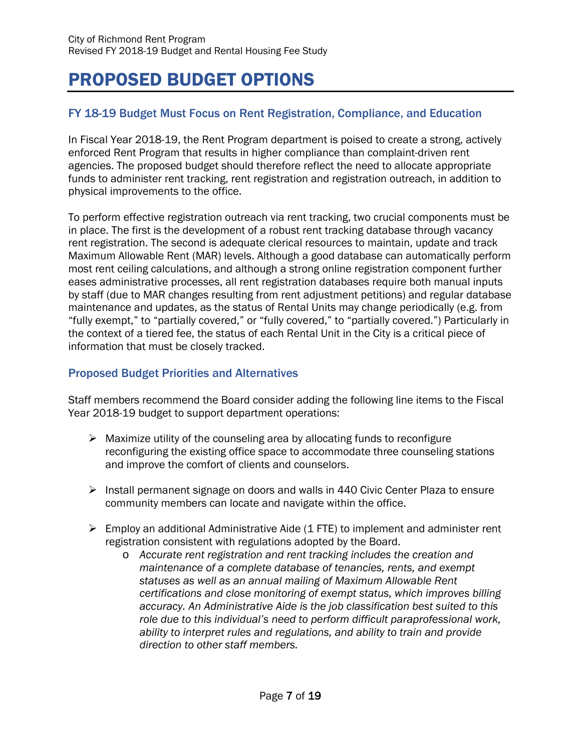# PROPOSED BUDGET OPTIONS

# FY 18-19 Budget Must Focus on Rent Registration, Compliance, and Education

In Fiscal Year 2018-19, the Rent Program department is poised to create a strong, actively enforced Rent Program that results in higher compliance than complaint-driven rent agencies. The proposed budget should therefore reflect the need to allocate appropriate funds to administer rent tracking, rent registration and registration outreach, in addition to physical improvements to the office.

To perform effective registration outreach via rent tracking, two crucial components must be in place. The first is the development of a robust rent tracking database through vacancy rent registration. The second is adequate clerical resources to maintain, update and track Maximum Allowable Rent (MAR) levels. Although a good database can automatically perform most rent ceiling calculations, and although a strong online registration component further eases administrative processes, all rent registration databases require both manual inputs by staff (due to MAR changes resulting from rent adjustment petitions) and regular database maintenance and updates, as the status of Rental Units may change periodically (e.g. from "fully exempt," to "partially covered," or "fully covered," to "partially covered.") Particularly in the context of a tiered fee, the status of each Rental Unit in the City is a critical piece of information that must be closely tracked.

### Proposed Budget Priorities and Alternatives

Staff members recommend the Board consider adding the following line items to the Fiscal Year 2018-19 budget to support department operations:

- $\triangleright$  Maximize utility of the counseling area by allocating funds to reconfigure reconfiguring the existing office space to accommodate three counseling stations and improve the comfort of clients and counselors.
- $\triangleright$  Install permanent signage on doors and walls in 440 Civic Center Plaza to ensure community members can locate and navigate within the office.
- $\triangleright$  Employ an additional Administrative Aide (1 FTE) to implement and administer rent registration consistent with regulations adopted by the Board.
	- o *Accurate rent registration and rent tracking includes the creation and maintenance of a complete database of tenancies, rents, and exempt statuses as well as an annual mailing of Maximum Allowable Rent certifications and close monitoring of exempt status, which improves billing accuracy. An Administrative Aide is the job classification best suited to this role due to this individual's need to perform difficult paraprofessional work, ability to interpret rules and regulations, and ability to train and provide direction to other staff members.*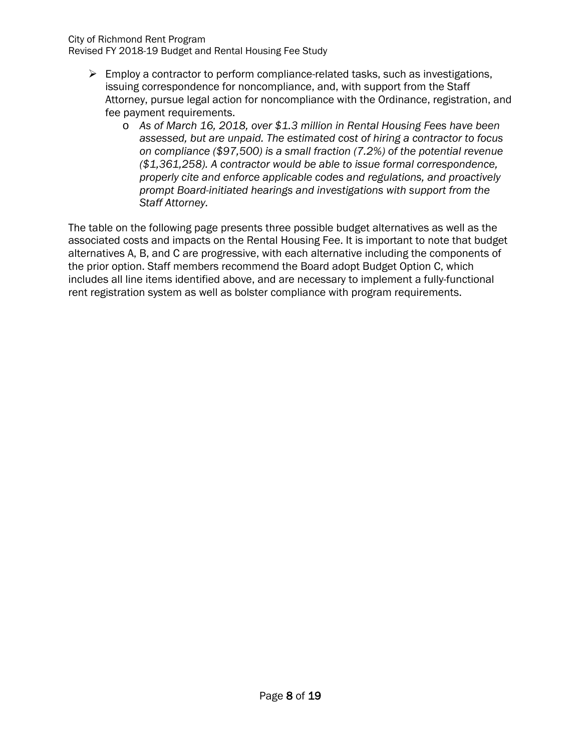#### City of Richmond Rent Program

Revised FY 2018-19 Budget and Rental Housing Fee Study

- $\triangleright$  Employ a contractor to perform compliance-related tasks, such as investigations, issuing correspondence for noncompliance, and, with support from the Staff Attorney, pursue legal action for noncompliance with the Ordinance, registration, and fee payment requirements.
	- o *As of March 16, 2018, over \$1.3 million in Rental Housing Fees have been assessed, but are unpaid. The estimated cost of hiring a contractor to focus on compliance (\$97,500) is a small fraction (7.2%) of the potential revenue (\$1,361,258). A contractor would be able to issue formal correspondence, properly cite and enforce applicable codes and regulations, and proactively prompt Board-initiated hearings and investigations with support from the Staff Attorney.*

The table on the following page presents three possible budget alternatives as well as the associated costs and impacts on the Rental Housing Fee. It is important to note that budget alternatives A, B, and C are progressive, with each alternative including the components of the prior option. Staff members recommend the Board adopt Budget Option C, which includes all line items identified above, and are necessary to implement a fully-functional rent registration system as well as bolster compliance with program requirements.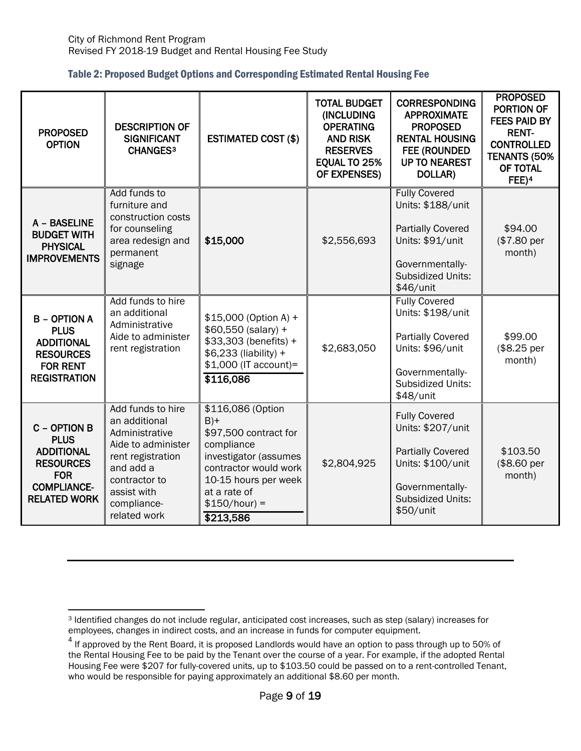|  | Table 2: Proposed Budget Options and Corresponding Estimated Rental Housing Fee |
|--|---------------------------------------------------------------------------------|
|--|---------------------------------------------------------------------------------|

| <b>PROPOSED</b><br><b>OPTION</b>                                                                                                | <b>DESCRIPTION OF</b><br><b>SIGNIFICANT</b><br>CHANGES <sup>3</sup>                                                                                                         | <b>ESTIMATED COST (\$)</b>                                                                                                                                                                 | <b>TOTAL BUDGET</b><br>(INCLUDING<br><b>OPERATING</b><br><b>AND RISK</b><br><b>RESERVES</b><br>EQUAL TO 25%<br>OF EXPENSES) | <b>CORRESPONDING</b><br><b>APPROXIMATE</b><br><b>PROPOSED</b><br><b>RENTAL HOUSING</b><br><b>FEE (ROUNDED)</b><br><b>UP TO NEAREST</b><br>DOLLAR)     | <b>PROPOSED</b><br><b>PORTION OF</b><br><b>FEES PAID BY</b><br><b>RENT-</b><br><b>CONTROLLED</b><br>TENANTS (50%<br>OF TOTAL<br>FEE) <sup>4</sup> |
|---------------------------------------------------------------------------------------------------------------------------------|-----------------------------------------------------------------------------------------------------------------------------------------------------------------------------|--------------------------------------------------------------------------------------------------------------------------------------------------------------------------------------------|-----------------------------------------------------------------------------------------------------------------------------|-------------------------------------------------------------------------------------------------------------------------------------------------------|---------------------------------------------------------------------------------------------------------------------------------------------------|
| A - BASELINE<br><b>BUDGET WITH</b><br><b>PHYSICAL</b><br><b>IMPROVEMENTS</b>                                                    | Add funds to<br>furniture and<br>construction costs<br>for counseling<br>area redesign and<br>permanent<br>signage                                                          | \$15,000                                                                                                                                                                                   | \$2,556,693                                                                                                                 | <b>Fully Covered</b><br>Units: \$188/unit<br><b>Partially Covered</b><br>Units: \$91/unit<br>Governmentally-<br><b>Subsidized Units:</b><br>\$46/unit | \$94.00<br>(\$7.80 per<br>month)                                                                                                                  |
| <b>B - OPTION A</b><br><b>PLUS</b><br><b>ADDITIONAL</b><br><b>RESOURCES</b><br><b>FOR RENT</b><br><b>REGISTRATION</b>           | Add funds to hire<br>an additional<br>Administrative<br>Aide to administer<br>rent registration                                                                             | \$15,000 (Option A) +<br>\$60,550 (salary) +<br>\$33,303 (benefits) +<br>\$6,233 (liability) +<br>\$1,000 (IT account)=<br>\$116,086                                                       | \$2,683,050                                                                                                                 | <b>Fully Covered</b><br>Units: \$198/unit<br><b>Partially Covered</b><br>Units: \$96/unit<br>Governmentally-<br><b>Subsidized Units:</b><br>\$48/unit | \$99.00<br>(\$8.25 per<br>month)                                                                                                                  |
| C - OPTION B<br><b>PLUS</b><br><b>ADDITIONAL</b><br><b>RESOURCES</b><br><b>FOR</b><br><b>COMPLIANCE-</b><br><b>RELATED WORK</b> | Add funds to hire<br>an additional<br>Administrative<br>Aide to administer<br>rent registration<br>and add a<br>contractor to<br>assist with<br>compliance-<br>related work | \$116,086 (Option<br>$B$ )+<br>\$97,500 contract for<br>compliance<br>investigator (assumes<br>contractor would work<br>10-15 hours per week<br>at a rate of<br>$$150/hour$ =<br>\$213,586 | \$2,804,925                                                                                                                 | <b>Fully Covered</b><br>Units: \$207/unit<br><b>Partially Covered</b><br>Units: \$100/unit<br>Governmentally-<br>Subsidized Units:<br>\$50/unit       | \$103.50<br>(\$8.60 per<br>month)                                                                                                                 |

<span id="page-9-0"></span> $\overline{a}$ <sup>3</sup> Identified changes do not include regular, anticipated cost increases, such as step (salary) increases for employees, changes in indirect costs, and an increase in funds for computer equipment.

<span id="page-9-1"></span><sup>&</sup>lt;sup>4</sup> If approved by the Rent Board, it is proposed Landlords would have an option to pass through up to 50% of the Rental Housing Fee to be paid by the Tenant over the course of a year. For example, if the adopted Rental Housing Fee were \$207 for fully-covered units, up to \$103.50 could be passed on to a rent-controlled Tenant, who would be responsible for paying approximately an additional \$8.60 per month.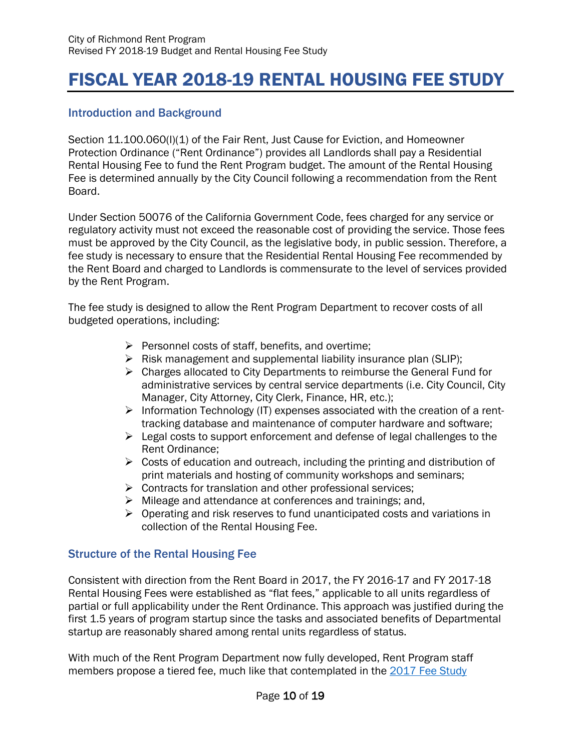# FISCAL YEAR 2018-19 RENTAL HOUSING FEE STUDY

## Introduction and Background

Section 11.100.060(I)(1) of the Fair Rent, Just Cause for Eviction, and Homeowner Protection Ordinance ("Rent Ordinance") provides all Landlords shall pay a Residential Rental Housing Fee to fund the Rent Program budget. The amount of the Rental Housing Fee is determined annually by the City Council following a recommendation from the Rent Board.

Under Section 50076 of the California Government Code, fees charged for any service or regulatory activity must not exceed the reasonable cost of providing the service. Those fees must be approved by the City Council, as the legislative body, in public session. Therefore, a fee study is necessary to ensure that the Residential Rental Housing Fee recommended by the Rent Board and charged to Landlords is commensurate to the level of services provided by the Rent Program.

The fee study is designed to allow the Rent Program Department to recover costs of all budgeted operations, including:

- $\triangleright$  Personnel costs of staff, benefits, and overtime;
- $\triangleright$  Risk management and supplemental liability insurance plan (SLIP);
- ▶ Charges allocated to City Departments to reimburse the General Fund for administrative services by central service departments (i.e. City Council, City Manager, City Attorney, City Clerk, Finance, HR, etc.);
- $\triangleright$  Information Technology (IT) expenses associated with the creation of a renttracking database and maintenance of computer hardware and software;
- $\triangleright$  Legal costs to support enforcement and defense of legal challenges to the Rent Ordinance;
- $\triangleright$  Costs of education and outreach, including the printing and distribution of print materials and hosting of community workshops and seminars;
- $\triangleright$  Contracts for translation and other professional services;
- $\triangleright$  Mileage and attendance at conferences and trainings; and,
- $\triangleright$  Operating and risk reserves to fund unanticipated costs and variations in collection of the Rental Housing Fee.

# Structure of the Rental Housing Fee

Consistent with direction from the Rent Board in 2017, the FY 2016-17 and FY 2017-18 Rental Housing Fees were established as "flat fees," applicable to all units regardless of partial or full applicability under the Rent Ordinance. This approach was justified during the first 1.5 years of program startup since the tasks and associated benefits of Departmental startup are reasonably shared among rental units regardless of status.

With much of the Rent Program Department now fully developed, Rent Program staff members propose a tiered fee, much like that contemplated in the [2017 Fee Study](http://www.ci.richmond.ca.us/DocumentCenter/View/42629)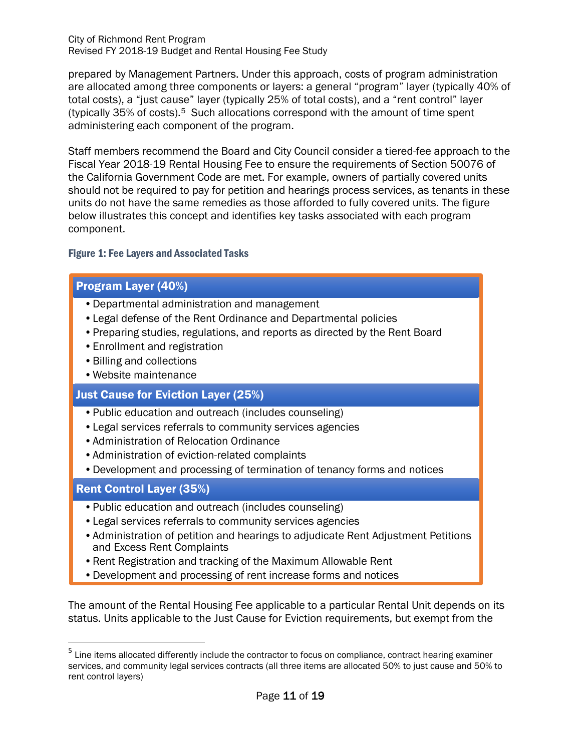City of Richmond Rent Program Revised FY 2018-19 Budget and Rental Housing Fee Study

prepared by Management Partners. Under this approach, costs of program administration are allocated among three components or layers: a general "program" layer (typically 40% of total costs), a "just cause" layer (typically 25% of total costs), and a "rent control" layer (typically  $35\%$  of costs).<sup>5</sup> Such allocations correspond with the amount of time spent administering each component of the program.

Staff members recommend the Board and City Council consider a tiered-fee approach to the Fiscal Year 2018-19 Rental Housing Fee to ensure the requirements of Section 50076 of the California Government Code are met. For example, owners of partially covered units should not be required to pay for petition and hearings process services, as tenants in these units do not have the same remedies as those afforded to fully covered units. The figure below illustrates this concept and identifies key tasks associated with each program component.

### Figure 1: Fee Layers and Associated Tasks

## Program Layer (40%)

- •Departmental administration and management
- •Legal defense of the Rent Ordinance and Departmental policies
- •Preparing studies, regulations, and reports as directed by the Rent Board
- •Enrollment and registration
- •Billing and collections
- •Website maintenance

### Just Cause for Eviction Layer (25%)

- •Public education and outreach (includes counseling)
- •Legal services referrals to community services agencies
- •Administration of Relocation Ordinance
- •Administration of eviction-related complaints
- •Development and processing of termination of tenancy forms and notices

### Rent Control Layer (35%)

- •Public education and outreach (includes counseling)
- •Legal services referrals to community services agencies
- •Administration of petition and hearings to adjudicate Rent Adjustment Petitions and Excess Rent Complaints
- •Rent Registration and tracking of the Maximum Allowable Rent
- •Development and processing of rent increase forms and notices

The amount of the Rental Housing Fee applicable to a particular Rental Unit depends on its status. Units applicable to the Just Cause for Eviction requirements, but exempt from the

<span id="page-11-0"></span><sup>&</sup>lt;sup>5</sup> Line items allocated differently include the contractor to focus on compliance, contract hearing examiner services, and community legal services contracts (all three items are allocated 50% to just cause and 50% to rent control layers)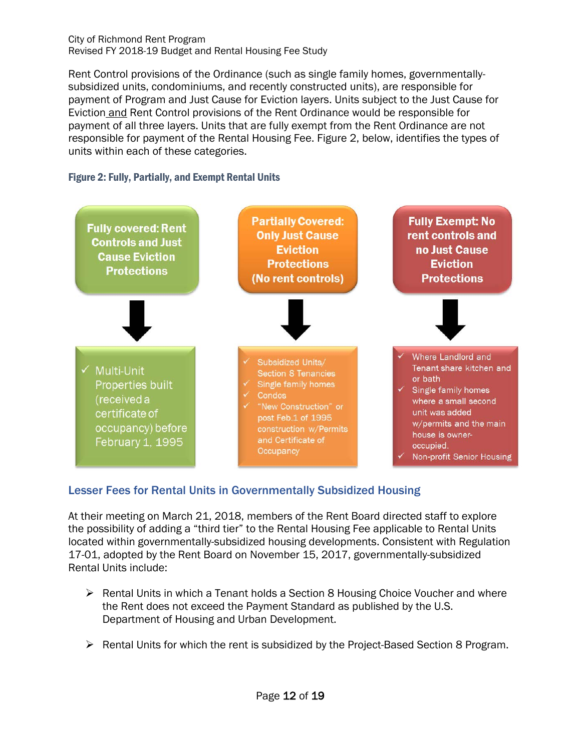#### City of Richmond Rent Program Revised FY 2018-19 Budget and Rental Housing Fee Study

Rent Control provisions of the Ordinance (such as single family homes, governmentallysubsidized units, condominiums, and recently constructed units), are responsible for payment of Program and Just Cause for Eviction layers. Units subject to the Just Cause for Eviction and Rent Control provisions of the Rent Ordinance would be responsible for payment of all three layers. Units that are fully exempt from the Rent Ordinance are not responsible for payment of the Rental Housing Fee. Figure 2, below, identifies the types of units within each of these categories.

### Figure 2: Fully, Partially, and Exempt Rental Units



# Lesser Fees for Rental Units in Governmentally Subsidized Housing

At their meeting on March 21, 2018, members of the Rent Board directed staff to explore the possibility of adding a "third tier" to the Rental Housing Fee applicable to Rental Units located within governmentally-subsidized housing developments. Consistent with Regulation 17-01, adopted by the Rent Board on November 15, 2017, governmentally-subsidized Rental Units include:

- $\triangleright$  Rental Units in which a Tenant holds a Section 8 Housing Choice Voucher and where the Rent does not exceed the Payment Standard as published by the U.S. Department of Housing and Urban Development.
- $\triangleright$  Rental Units for which the rent is subsidized by the Project-Based Section 8 Program.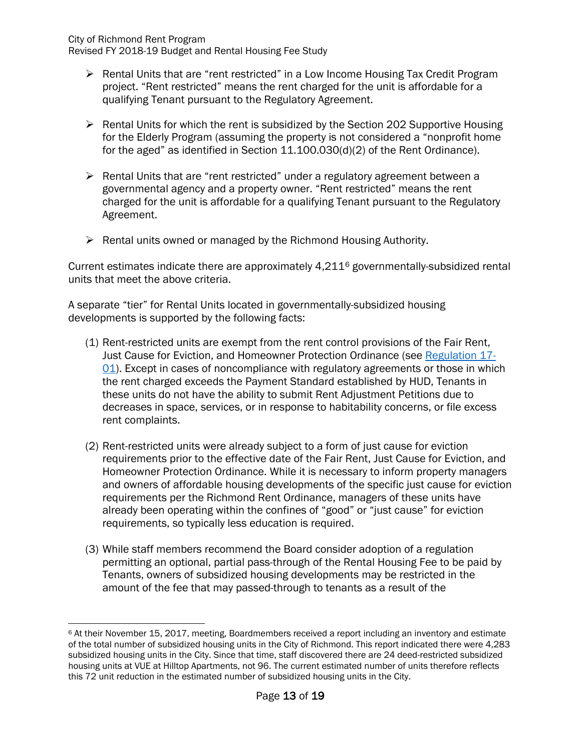City of Richmond Rent Program

Revised FY 2018-19 Budget and Rental Housing Fee Study

- ▶ Rental Units that are "rent restricted" in a Low Income Housing Tax Credit Program project. "Rent restricted" means the rent charged for the unit is affordable for a qualifying Tenant pursuant to the Regulatory Agreement.
- $\triangleright$  Rental Units for which the rent is subsidized by the Section 202 Supportive Housing for the Elderly Program (assuming the property is not considered a "nonprofit home for the aged" as identified in Section 11.100.030(d)(2) of the Rent Ordinance).
- $\triangleright$  Rental Units that are "rent restricted" under a regulatory agreement between a governmental agency and a property owner. "Rent restricted" means the rent charged for the unit is affordable for a qualifying Tenant pursuant to the Regulatory Agreement.
- $\triangleright$  Rental units owned or managed by the Richmond Housing Authority.

Current estimates indicate there are approximately 4,211[6](#page-13-0) governmentally-subsidized rental units that meet the above criteria.

A separate "tier" for Rental Units located in governmentally-subsidized housing developments is supported by the following facts:

- (1) Rent-restricted units are exempt from the rent control provisions of the Fair Rent, Just Cause for Eviction, and Homeowner Protection Ordinance (see [Regulation 17-](http://www.ci.richmond.ca.us/DocumentCenter/View/45316) [01\)](http://www.ci.richmond.ca.us/DocumentCenter/View/45316). Except in cases of noncompliance with regulatory agreements or those in which the rent charged exceeds the Payment Standard established by HUD, Tenants in these units do not have the ability to submit Rent Adjustment Petitions due to decreases in space, services, or in response to habitability concerns, or file excess rent complaints.
- (2) Rent-restricted units were already subject to a form of just cause for eviction requirements prior to the effective date of the Fair Rent, Just Cause for Eviction, and Homeowner Protection Ordinance. While it is necessary to inform property managers and owners of affordable housing developments of the specific just cause for eviction requirements per the Richmond Rent Ordinance, managers of these units have already been operating within the confines of "good" or "just cause" for eviction requirements, so typically less education is required.
- (3) While staff members recommend the Board consider adoption of a regulation permitting an optional, partial pass-through of the Rental Housing Fee to be paid by Tenants, owners of subsidized housing developments may be restricted in the amount of the fee that may passed-through to tenants as a result of the

<span id="page-13-0"></span> $\overline{a}$ <sup>6</sup> At their November 15, 2017, meeting, Boardmembers received a report including an inventory and estimate of the total number of subsidized housing units in the City of Richmond. This report indicated there were 4,283 subsidized housing units in the City. Since that time, staff discovered there are 24 deed-restricted subsidized housing units at VUE at Hilltop Apartments, not 96. The current estimated number of units therefore reflects this 72 unit reduction in the estimated number of subsidized housing units in the City.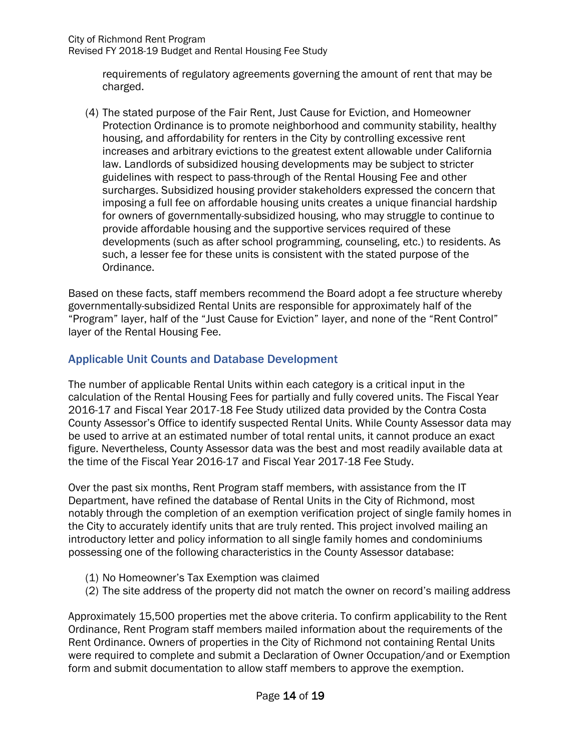Revised FY 2018-19 Budget and Rental Housing Fee Study

requirements of regulatory agreements governing the amount of rent that may be charged.

(4) The stated purpose of the Fair Rent, Just Cause for Eviction, and Homeowner Protection Ordinance is to promote neighborhood and community stability, healthy housing, and affordability for renters in the City by controlling excessive rent increases and arbitrary evictions to the greatest extent allowable under California law. Landlords of subsidized housing developments may be subject to stricter guidelines with respect to pass-through of the Rental Housing Fee and other surcharges. Subsidized housing provider stakeholders expressed the concern that imposing a full fee on affordable housing units creates a unique financial hardship for owners of governmentally-subsidized housing, who may struggle to continue to provide affordable housing and the supportive services required of these developments (such as after school programming, counseling, etc.) to residents. As such, a lesser fee for these units is consistent with the stated purpose of the Ordinance.

Based on these facts, staff members recommend the Board adopt a fee structure whereby governmentally-subsidized Rental Units are responsible for approximately half of the "Program" layer, half of the "Just Cause for Eviction" layer, and none of the "Rent Control" layer of the Rental Housing Fee.

## Applicable Unit Counts and Database Development

The number of applicable Rental Units within each category is a critical input in the calculation of the Rental Housing Fees for partially and fully covered units. The Fiscal Year 2016-17 and Fiscal Year 2017-18 Fee Study utilized data provided by the Contra Costa County Assessor's Office to identify suspected Rental Units. While County Assessor data may be used to arrive at an estimated number of total rental units, it cannot produce an exact figure. Nevertheless, County Assessor data was the best and most readily available data at the time of the Fiscal Year 2016-17 and Fiscal Year 2017-18 Fee Study.

Over the past six months, Rent Program staff members, with assistance from the IT Department, have refined the database of Rental Units in the City of Richmond, most notably through the completion of an exemption verification project of single family homes in the City to accurately identify units that are truly rented. This project involved mailing an introductory letter and policy information to all single family homes and condominiums possessing one of the following characteristics in the County Assessor database:

- (1) No Homeowner's Tax Exemption was claimed
- (2) The site address of the property did not match the owner on record's mailing address

Approximately 15,500 properties met the above criteria. To confirm applicability to the Rent Ordinance, Rent Program staff members mailed information about the requirements of the Rent Ordinance. Owners of properties in the City of Richmond not containing Rental Units were required to complete and submit a Declaration of Owner Occupation/and or Exemption form and submit documentation to allow staff members to approve the exemption.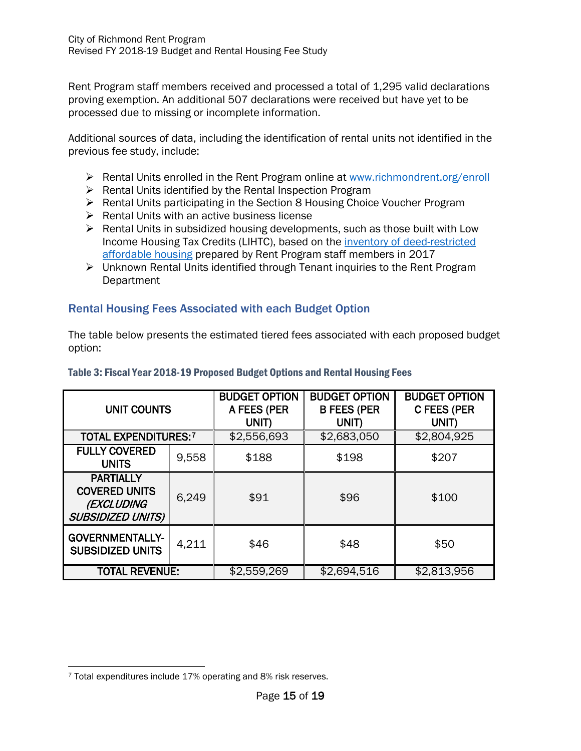Rent Program staff members received and processed a total of 1,295 valid declarations proving exemption. An additional 507 declarations were received but have yet to be processed due to missing or incomplete information.

Additional sources of data, including the identification of rental units not identified in the previous fee study, include:

- $\triangleright$  Rental Units enrolled in the Rent Program online at [www.richmondrent.org/enroll](http://www.richmondrent.org/enroll)
- $\triangleright$  Rental Units identified by the Rental Inspection Program
- ▶ Rental Units participating in the Section 8 Housing Choice Voucher Program
- $\triangleright$  Rental Units with an active business license
- $\triangleright$  Rental Units in subsidized housing developments, such as those built with Low Income Housing Tax Credits (LIHTC), based on the inventory [of deed-restricted](http://www.ci.richmond.ca.us/DocumentCenter/View/42876)  [affordable housing](http://www.ci.richmond.ca.us/DocumentCenter/View/42876) prepared by Rent Program staff members in 2017
- Unknown Rental Units identified through Tenant inquiries to the Rent Program **Department**

## Rental Housing Fees Associated with each Budget Option

The table below presents the estimated tiered fees associated with each proposed budget option:

| <b>UNIT COUNTS</b>                                                                 |       | <b>BUDGET OPTION</b><br>A FEES (PER<br>UNIT) | <b>BUDGET OPTION</b><br><b>B FEES (PER</b><br>UNIT) | <b>BUDGET OPTION</b><br><b>C FEES (PER</b><br>UNIT) |
|------------------------------------------------------------------------------------|-------|----------------------------------------------|-----------------------------------------------------|-----------------------------------------------------|
| <b>TOTAL EXPENDITURES:7</b>                                                        |       | \$2,556,693                                  | \$2,683,050                                         | \$2,804,925                                         |
| <b>FULLY COVERED</b><br><b>UNITS</b>                                               | 9,558 | \$188                                        | \$198                                               | \$207                                               |
| <b>PARTIALLY</b><br><b>COVERED UNITS</b><br>(EXCLUDING<br><b>SUBSIDIZED UNITS)</b> | 6,249 | \$91                                         | \$96                                                | \$100                                               |
| <b>GOVERNMENTALLY-</b><br><b>SUBSIDIZED UNITS</b>                                  | 4,211 | \$46                                         | \$48                                                | \$50                                                |
| <b>TOTAL REVENUE:</b>                                                              |       | \$2,559,269                                  | \$2,694,516                                         | \$2,813,956                                         |

#### Table 3: Fiscal Year 2018-19 Proposed Budget Options and Rental Housing Fees

<span id="page-15-0"></span> $\overline{a}$ <sup>7</sup> Total expenditures include 17% operating and 8% risk reserves.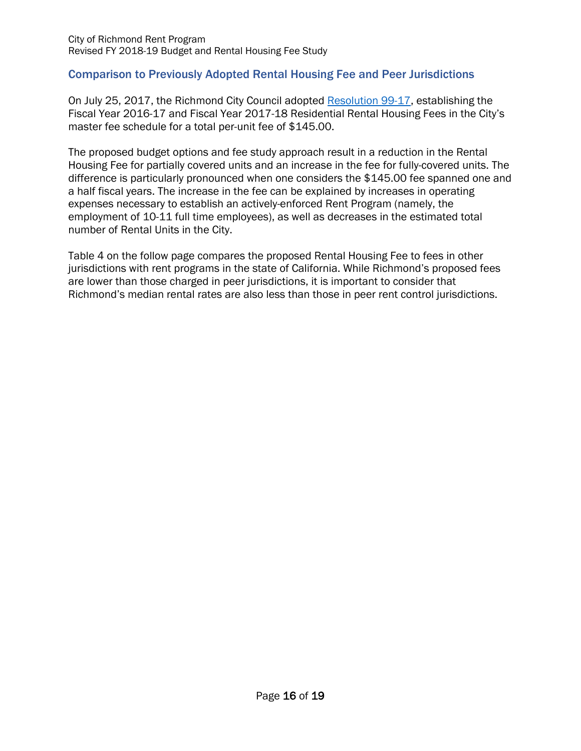## Comparison to Previously Adopted Rental Housing Fee and Peer Jurisdictions

On July 25, 2017, the Richmond City Council adopted [Resolution 99-17,](http://www.ci.richmond.ca.us/DocumentCenter/View/43842) establishing the Fiscal Year 2016-17 and Fiscal Year 2017-18 Residential Rental Housing Fees in the City's master fee schedule for a total per-unit fee of \$145.00.

The proposed budget options and fee study approach result in a reduction in the Rental Housing Fee for partially covered units and an increase in the fee for fully-covered units. The difference is particularly pronounced when one considers the \$145.00 fee spanned one and a half fiscal years. The increase in the fee can be explained by increases in operating expenses necessary to establish an actively-enforced Rent Program (namely, the employment of 10-11 full time employees), as well as decreases in the estimated total number of Rental Units in the City.

Table 4 on the follow page compares the proposed Rental Housing Fee to fees in other jurisdictions with rent programs in the state of California. While Richmond's proposed fees are lower than those charged in peer jurisdictions, it is important to consider that Richmond's median rental rates are also less than those in peer rent control jurisdictions.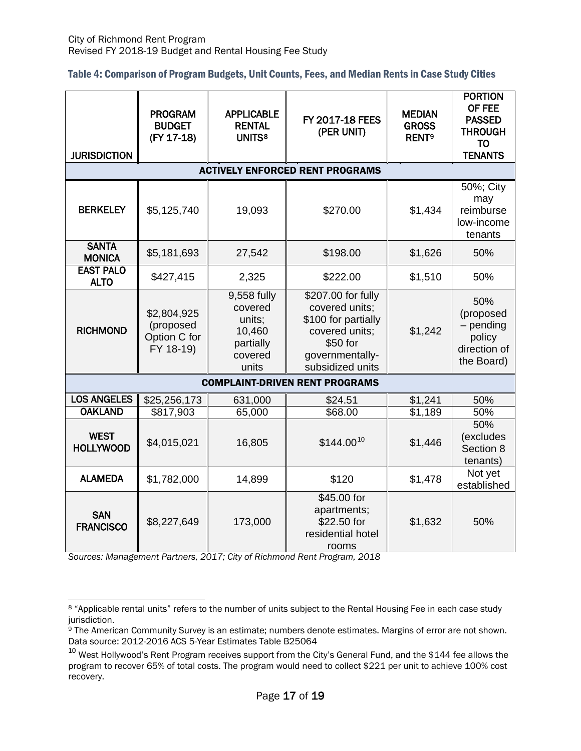| Table 4: Comparison of Program Budgets, Unit Counts, Fees, and Median Rents in Case Study Cities |  |  |  |
|--------------------------------------------------------------------------------------------------|--|--|--|
|--------------------------------------------------------------------------------------------------|--|--|--|

| <b>JURISDICTION</b>                   | <b>PROGRAM</b><br><b>BUDGET</b><br>(FY 17-18)         | <b>APPLICABLE</b><br><b>RENTAL</b><br><b>UNITS8</b>                         | FY 2017-18 FEES<br>(PER UNIT)                                                                                                    | <b>MEDIAN</b><br><b>GROSS</b><br><b>RENT<sup>9</sup></b> | <b>PORTION</b><br>OF FEE<br><b>PASSED</b><br><b>THROUGH</b><br><b>TO</b><br><b>TENANTS</b> |  |  |
|---------------------------------------|-------------------------------------------------------|-----------------------------------------------------------------------------|----------------------------------------------------------------------------------------------------------------------------------|----------------------------------------------------------|--------------------------------------------------------------------------------------------|--|--|
|                                       |                                                       |                                                                             | <b>ACTIVELY ENFORCED RENT PROGRAMS</b>                                                                                           |                                                          |                                                                                            |  |  |
| <b>BERKELEY</b>                       | \$5,125,740                                           | 19,093                                                                      | \$270.00                                                                                                                         | \$1,434                                                  | 50%; City<br>may<br>reimburse<br>low-income<br>tenants                                     |  |  |
| <b>SANTA</b><br><b>MONICA</b>         | \$5,181,693                                           | 27,542                                                                      | \$198.00                                                                                                                         | \$1,626                                                  | 50%                                                                                        |  |  |
| <b>EAST PALO</b><br><b>ALTO</b>       | \$427,415                                             | 2,325                                                                       | \$222.00                                                                                                                         | \$1,510                                                  | 50%                                                                                        |  |  |
| <b>RICHMOND</b>                       | \$2,804,925<br>(proposed<br>Option C for<br>FY 18-19) | 9,558 fully<br>covered<br>units;<br>10,460<br>partially<br>covered<br>units | \$207.00 for fully<br>covered units;<br>\$100 for partially<br>covered units;<br>\$50 for<br>governmentally-<br>subsidized units | \$1,242                                                  | 50%<br>(proposed<br>$-$ pending<br>policy<br>direction of<br>the Board)                    |  |  |
| <b>COMPLAINT-DRIVEN RENT PROGRAMS</b> |                                                       |                                                                             |                                                                                                                                  |                                                          |                                                                                            |  |  |
| <b>LOS ANGELES</b>                    | \$25,256,173                                          | 631,000                                                                     | \$24.51                                                                                                                          | \$1,241                                                  | 50%                                                                                        |  |  |
| <b>OAKLAND</b>                        | \$817,903                                             | 65,000                                                                      | \$68.00                                                                                                                          | \$1,189                                                  | 50%                                                                                        |  |  |
| <b>WEST</b><br><b>HOLLYWOOD</b>       | \$4,015,021                                           | 16,805                                                                      | $$144.00^{10}$                                                                                                                   | \$1,446                                                  | 50%<br>(excludes<br>Section 8<br>tenants)                                                  |  |  |
| <b>ALAMEDA</b>                        | \$1,782,000                                           | 14,899                                                                      | \$120                                                                                                                            | \$1,478                                                  | Not yet<br>established                                                                     |  |  |
| <b>SAN</b><br><b>FRANCISCO</b>        | \$8,227,649                                           | 173,000                                                                     | \$45.00 for<br>apartments;<br>\$22.50 for<br>residential hotel<br>rooms                                                          | \$1,632                                                  | 50%                                                                                        |  |  |

*Sources: Management Partners, 2017; City of Richmond Rent Program, 2018*

<span id="page-17-0"></span> $\overline{a}$ <sup>8</sup> "Applicable rental units" refers to the number of units subject to the Rental Housing Fee in each case study jurisdiction.

<span id="page-17-1"></span><sup>&</sup>lt;sup>9</sup> The American Community Survey is an estimate; numbers denote estimates. Margins of error are not shown. Data source: 2012-2016 ACS 5-Year Estimates Table B25064

<span id="page-17-2"></span> $10$  West Hollywood's Rent Program receives support from the City's General Fund, and the \$144 fee allows the program to recover 65% of total costs. The program would need to collect \$221 per unit to achieve 100% cost recovery.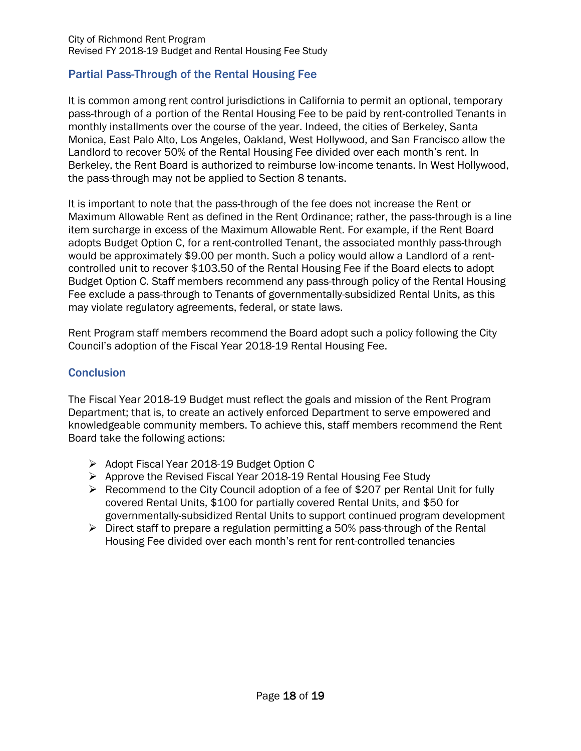# Partial Pass-Through of the Rental Housing Fee

It is common among rent control jurisdictions in California to permit an optional, temporary pass-through of a portion of the Rental Housing Fee to be paid by rent-controlled Tenants in monthly installments over the course of the year. Indeed, the cities of Berkeley, Santa Monica, East Palo Alto, Los Angeles, Oakland, West Hollywood, and San Francisco allow the Landlord to recover 50% of the Rental Housing Fee divided over each month's rent. In Berkeley, the Rent Board is authorized to reimburse low-income tenants. In West Hollywood, the pass-through may not be applied to Section 8 tenants.

It is important to note that the pass-through of the fee does not increase the Rent or Maximum Allowable Rent as defined in the Rent Ordinance; rather, the pass-through is a line item surcharge in excess of the Maximum Allowable Rent. For example, if the Rent Board adopts Budget Option C, for a rent-controlled Tenant, the associated monthly pass-through would be approximately \$9.00 per month. Such a policy would allow a Landlord of a rentcontrolled unit to recover \$103.50 of the Rental Housing Fee if the Board elects to adopt Budget Option C. Staff members recommend any pass-through policy of the Rental Housing Fee exclude a pass-through to Tenants of governmentally-subsidized Rental Units, as this may violate regulatory agreements, federal, or state laws.

Rent Program staff members recommend the Board adopt such a policy following the City Council's adoption of the Fiscal Year 2018-19 Rental Housing Fee.

### **Conclusion**

The Fiscal Year 2018-19 Budget must reflect the goals and mission of the Rent Program Department; that is, to create an actively enforced Department to serve empowered and knowledgeable community members. To achieve this, staff members recommend the Rent Board take the following actions:

- Adopt Fiscal Year 2018-19 Budget Option C
- Approve the Revised Fiscal Year 2018-19 Rental Housing Fee Study
- $\triangleright$  Recommend to the City Council adoption of a fee of \$207 per Rental Unit for fully covered Rental Units, \$100 for partially covered Rental Units, and \$50 for governmentally-subsidized Rental Units to support continued program development
- $\triangleright$  Direct staff to prepare a regulation permitting a 50% pass-through of the Rental Housing Fee divided over each month's rent for rent-controlled tenancies